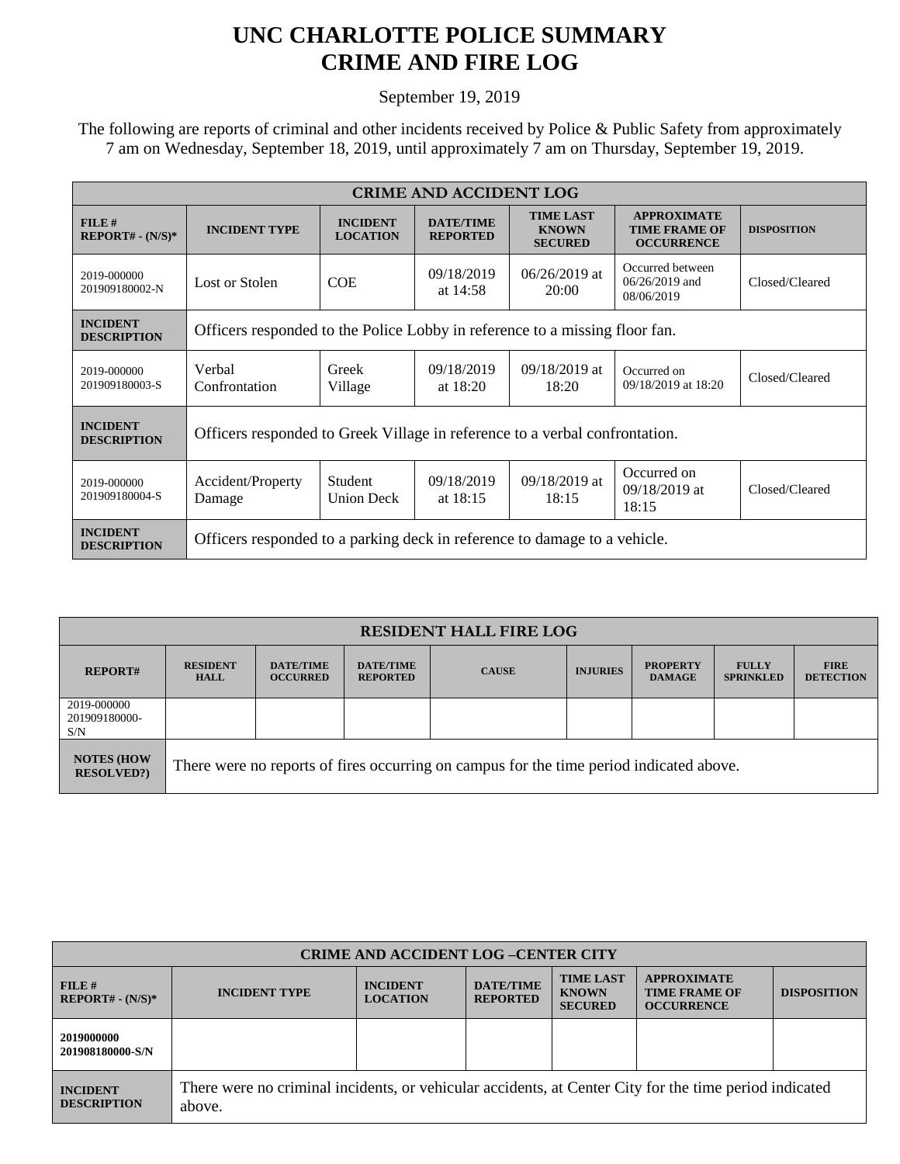## **UNC CHARLOTTE POLICE SUMMARY CRIME AND FIRE LOG**

September 19, 2019

 The following are reports of criminal and other incidents received by Police & Public Safety from approximately 7 am on Wednesday, September 18, 2019, until approximately 7 am on Thursday, September 19, 2019.

| <b>CRIME AND ACCIDENT LOG</b>         |                                                                             |                                    |                                     |                                                    |                                                                 |                    |  |
|---------------------------------------|-----------------------------------------------------------------------------|------------------------------------|-------------------------------------|----------------------------------------------------|-----------------------------------------------------------------|--------------------|--|
| $FILE$ #<br>$REPORT# - (N/S)*$        | <b>INCIDENT TYPE</b>                                                        | <b>INCIDENT</b><br><b>LOCATION</b> | <b>DATE/TIME</b><br><b>REPORTED</b> | <b>TIME LAST</b><br><b>KNOWN</b><br><b>SECURED</b> | <b>APPROXIMATE</b><br><b>TIME FRAME OF</b><br><b>OCCURRENCE</b> | <b>DISPOSITION</b> |  |
| 2019-000000<br>201909180002-N         | Lost or Stolen                                                              | <b>COE</b>                         | 09/18/2019<br>at $14:58$            | $06/26/2019$ at<br>20:00                           | Occurred between<br>$06/26/2019$ and<br>08/06/2019              | Closed/Cleared     |  |
| <b>INCIDENT</b><br><b>DESCRIPTION</b> | Officers responded to the Police Lobby in reference to a missing floor fan. |                                    |                                     |                                                    |                                                                 |                    |  |
| 2019-000000<br>201909180003-S         | Verbal<br>Confrontation                                                     | Greek<br>Village                   | 09/18/2019<br>at $18:20$            | 09/18/2019 at<br>18:20                             | Occurred on<br>09/18/2019 at 18:20                              | Closed/Cleared     |  |
| <b>INCIDENT</b><br><b>DESCRIPTION</b> | Officers responded to Greek Village in reference to a verbal confrontation. |                                    |                                     |                                                    |                                                                 |                    |  |
| 2019-000000<br>201909180004-S         | Accident/Property<br>Damage                                                 | Student<br><b>Union Deck</b>       | 09/18/2019<br>at $18:15$            | $09/18/2019$ at<br>18:15                           | Occurred on<br>09/18/2019 at<br>18:15                           | Closed/Cleared     |  |
| <b>INCIDENT</b><br><b>DESCRIPTION</b> | Officers responded to a parking deck in reference to damage to a vehicle.   |                                    |                                     |                                                    |                                                                 |                    |  |

| <b>RESIDENT HALL FIRE LOG</b>          |                                                                                         |                                     |                                     |              |                 |                                  |                                  |                                 |
|----------------------------------------|-----------------------------------------------------------------------------------------|-------------------------------------|-------------------------------------|--------------|-----------------|----------------------------------|----------------------------------|---------------------------------|
| <b>REPORT#</b>                         | <b>RESIDENT</b><br><b>HALL</b>                                                          | <b>DATE/TIME</b><br><b>OCCURRED</b> | <b>DATE/TIME</b><br><b>REPORTED</b> | <b>CAUSE</b> | <b>INJURIES</b> | <b>PROPERTY</b><br><b>DAMAGE</b> | <b>FULLY</b><br><b>SPRINKLED</b> | <b>FIRE</b><br><b>DETECTION</b> |
| 2019-000000<br>201909180000-<br>S/N    |                                                                                         |                                     |                                     |              |                 |                                  |                                  |                                 |
| <b>NOTES (HOW</b><br><b>RESOLVED?)</b> | There were no reports of fires occurring on campus for the time period indicated above. |                                     |                                     |              |                 |                                  |                                  |                                 |

| <b>CRIME AND ACCIDENT LOG-CENTER CITY</b> |                                                                                                                  |                                    |                                     |                                                    |                                                                 |                    |  |
|-------------------------------------------|------------------------------------------------------------------------------------------------------------------|------------------------------------|-------------------------------------|----------------------------------------------------|-----------------------------------------------------------------|--------------------|--|
| FILE#<br>$REPORT# - (N/S)*$               | <b>INCIDENT TYPE</b>                                                                                             | <b>INCIDENT</b><br><b>LOCATION</b> | <b>DATE/TIME</b><br><b>REPORTED</b> | <b>TIME LAST</b><br><b>KNOWN</b><br><b>SECURED</b> | <b>APPROXIMATE</b><br><b>TIME FRAME OF</b><br><b>OCCURRENCE</b> | <b>DISPOSITION</b> |  |
| 2019000000<br>201908180000-S/N            |                                                                                                                  |                                    |                                     |                                                    |                                                                 |                    |  |
| <b>INCIDENT</b><br><b>DESCRIPTION</b>     | There were no criminal incidents, or vehicular accidents, at Center City for the time period indicated<br>above. |                                    |                                     |                                                    |                                                                 |                    |  |